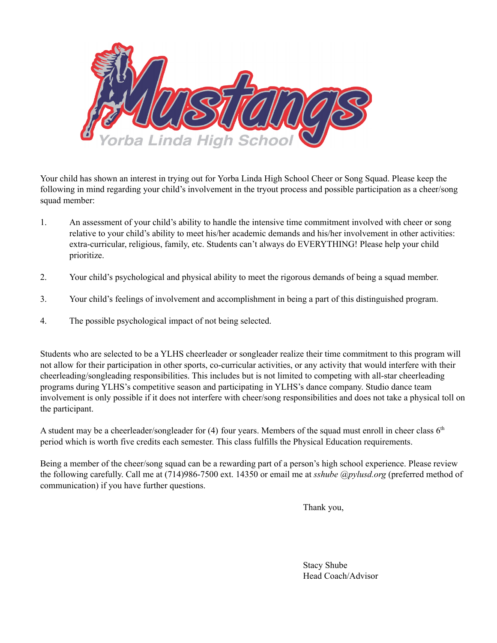

Your child has shown an interest in trying out for Yorba Linda High School Cheer or Song Squad. Please keep the following in mind regarding your child's involvement in the tryout process and possible participation as a cheer/song squad member:

- 1. An assessment of your child's ability to handle the intensive time commitment involved with cheer or song relative to your child's ability to meet his/her academic demands and his/her involvement in other activities: extra-curricular, religious, family, etc. Students can't always do EVERYTHING! Please help your child prioritize.
- 2. Your child's psychological and physical ability to meet the rigorous demands of being a squad member.
- 3. Your child's feelings of involvement and accomplishment in being a part of this distinguished program.
- 4. The possible psychological impact of not being selected.

Students who are selected to be a YLHS cheerleader or songleader realize their time commitment to this program will not allow for their participation in other sports, co-curricular activities, or any activity that would interfere with their cheerleading/songleading responsibilities. This includes but is not limited to competing with all-star cheerleading programs during YLHS's competitive season and participating in YLHS's dance company. Studio dance team involvement is only possible if it does not interfere with cheer/song responsibilities and does not take a physical toll on the participant.

A student may be a cheerleader/songleader for  $(4)$  four years. Members of the squad must enroll in cheer class  $6<sup>th</sup>$ period which is worth five credits each semester. This class fulfills the Physical Education requirements.

Being a member of the cheer/song squad can be a rewarding part of a person's high school experience. Please review the following carefully. Call me at (714)986-7500 ext. 14350 or email me at *sshube @pylusd.org* (preferred method of communication) if you have further questions.

Thank you,

Stacy Shube Head Coach/Advisor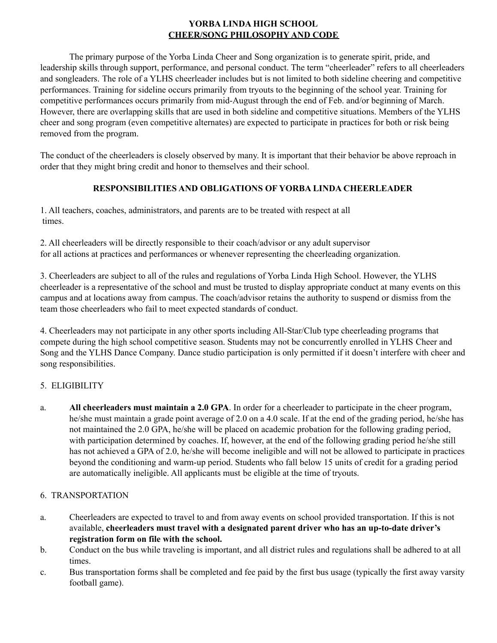## **YORBA LINDA HIGH SCHOOL CHEER/SONG PHILOSOPHY AND CODE**

The primary purpose of the Yorba Linda Cheer and Song organization is to generate spirit, pride, and leadership skills through support, performance, and personal conduct. The term "cheerleader" refers to all cheerleaders and songleaders. The role of a YLHS cheerleader includes but is not limited to both sideline cheering and competitive performances. Training for sideline occurs primarily from tryouts to the beginning of the school year. Training for competitive performances occurs primarily from mid-August through the end of Feb. and/or beginning of March. However, there are overlapping skills that are used in both sideline and competitive situations. Members of the YLHS cheer and song program (even competitive alternates) are expected to participate in practices for both or risk being removed from the program.

The conduct of the cheerleaders is closely observed by many. It is important that their behavior be above reproach in order that they might bring credit and honor to themselves and their school.

## **RESPONSIBILITIES AND OBLIGATIONS OF YORBA LINDA CHEERLEADER**

1. All teachers, coaches, administrators, and parents are to be treated with respect at all times.

2. All cheerleaders will be directly responsible to their coach/advisor or any adult supervisor for all actions at practices and performances or whenever representing the cheerleading organization.

3. Cheerleaders are subject to all of the rules and regulations of Yorba Linda High School. However, the YLHS cheerleader is a representative of the school and must be trusted to display appropriate conduct at many events on this campus and at locations away from campus. The coach/advisor retains the authority to suspend or dismiss from the team those cheerleaders who fail to meet expected standards of conduct.

4. Cheerleaders may not participate in any other sports including All-Star/Club type cheerleading programs that compete during the high school competitive season. Students may not be concurrently enrolled in YLHS Cheer and Song and the YLHS Dance Company. Dance studio participation is only permitted if it doesn't interfere with cheer and song responsibilities.

## 5. ELIGIBILITY

a. **All cheerleaders must maintain a 2.0 GPA**. In order for a cheerleader to participate in the cheer program, he/she must maintain a grade point average of 2.0 on a 4.0 scale. If at the end of the grading period, he/she has not maintained the 2.0 GPA, he/she will be placed on academic probation for the following grading period, with participation determined by coaches. If, however, at the end of the following grading period he/she still has not achieved a GPA of 2.0, he/she will become ineligible and will not be allowed to participate in practices beyond the conditioning and warm-up period. Students who fall below 15 units of credit for a grading period are automatically ineligible. All applicants must be eligible at the time of tryouts.

## 6. TRANSPORTATION

- a. Cheerleaders are expected to travel to and from away events on school provided transportation. If this is not available, **cheerleaders must travel with a designated parent driver who has an up-to-date driver's registration form on file with the school.**
- b. Conduct on the bus while traveling is important, and all district rules and regulations shall be adhered to at all times.
- c. Bus transportation forms shall be completed and fee paid by the first bus usage (typically the first away varsity football game).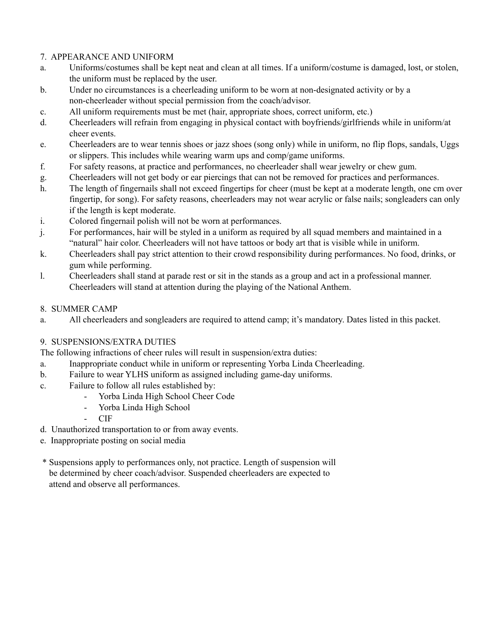## 7. APPEARANCE AND UNIFORM

- a. Uniforms/costumes shall be kept neat and clean at all times. If a uniform/costume is damaged, lost, or stolen, the uniform must be replaced by the user.
- b. Under no circumstances is a cheerleading uniform to be worn at non-designated activity or by a non-cheerleader without special permission from the coach/advisor.
- c. All uniform requirements must be met (hair, appropriate shoes, correct uniform, etc.)
- d. Cheerleaders will refrain from engaging in physical contact with boyfriends/girlfriends while in uniform/at cheer events.
- e. Cheerleaders are to wear tennis shoes or jazz shoes (song only) while in uniform, no flip flops, sandals, Uggs or slippers. This includes while wearing warm ups and comp/game uniforms.
- f. For safety reasons, at practice and performances, no cheerleader shall wear jewelry or chew gum.
- g. Cheerleaders will not get body or ear piercings that can not be removed for practices and performances.
- h. The length of fingernails shall not exceed fingertips for cheer (must be kept at a moderate length, one cm over fingertip, for song). For safety reasons, cheerleaders may not wear acrylic or false nails; songleaders can only if the length is kept moderate.
- i. Colored fingernail polish will not be worn at performances.
- j. For performances, hair will be styled in a uniform as required by all squad members and maintained in a "natural" hair color. Cheerleaders will not have tattoos or body art that is visible while in uniform.
- k. Cheerleaders shall pay strict attention to their crowd responsibility during performances. No food, drinks, or gum while performing.
- l. Cheerleaders shall stand at parade rest or sit in the stands as a group and act in a professional manner. Cheerleaders will stand at attention during the playing of the National Anthem.

## 8. SUMMER CAMP

a. All cheerleaders and songleaders are required to attend camp; it's mandatory. Dates listed in this packet.

## 9. SUSPENSIONS/EXTRA DUTIES

The following infractions of cheer rules will result in suspension/extra duties:

- a. Inappropriate conduct while in uniform or representing Yorba Linda Cheerleading.
- b. Failure to wear YLHS uniform as assigned including game-day uniforms.
- c. Failure to follow all rules established by:
	- Yorba Linda High School Cheer Code
	- Yorba Linda High School
	- CIF
- d. Unauthorized transportation to or from away events.
- e. Inappropriate posting on social media
- \* Suspensions apply to performances only, not practice. Length of suspension will be determined by cheer coach/advisor. Suspended cheerleaders are expected to attend and observe all performances.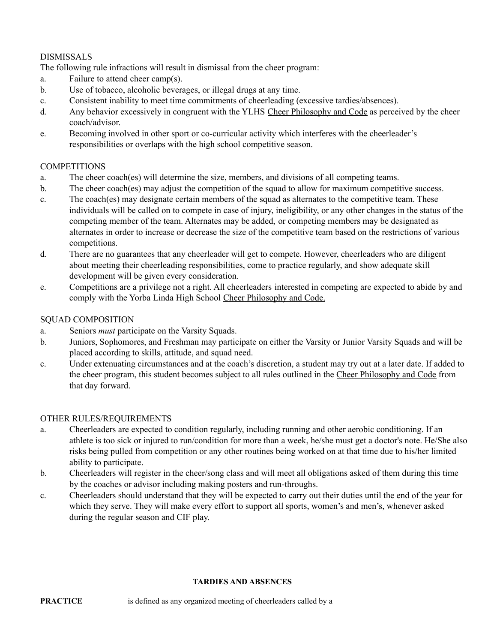## DISMISSALS

The following rule infractions will result in dismissal from the cheer program:

- a. Failure to attend cheer camp(s).
- b. Use of tobacco, alcoholic beverages, or illegal drugs at any time.
- c. Consistent inability to meet time commitments of cheerleading (excessive tardies/absences).
- d. Any behavior excessively in congruent with the YLHS Cheer Philosophy and Code as perceived by the cheer coach/advisor.
- e. Becoming involved in other sport or co-curricular activity which interferes with the cheerleader's responsibilities or overlaps with the high school competitive season.

## **COMPETITIONS**

- a. The cheer coach(es) will determine the size, members, and divisions of all competing teams.
- b. The cheer coach(es) may adjust the competition of the squad to allow for maximum competitive success.
- c. The coach(es) may designate certain members of the squad as alternates to the competitive team. These individuals will be called on to compete in case of injury, ineligibility, or any other changes in the status of the competing member of the team. Alternates may be added, or competing members may be designated as alternates in order to increase or decrease the size of the competitive team based on the restrictions of various competitions.
- d. There are no guarantees that any cheerleader will get to compete. However, cheerleaders who are diligent about meeting their cheerleading responsibilities, come to practice regularly, and show adequate skill development will be given every consideration.
- e. Competitions are a privilege not a right. All cheerleaders interested in competing are expected to abide by and comply with the Yorba Linda High School Cheer Philosophy and Code.

## SQUAD COMPOSITION

- a. Seniors *must* participate on the Varsity Squads.
- b. Juniors, Sophomores, and Freshman may participate on either the Varsity or Junior Varsity Squads and will be placed according to skills, attitude, and squad need.
- c. Under extenuating circumstances and at the coach's discretion, a student may try out at a later date. If added to the cheer program, this student becomes subject to all rules outlined in the Cheer Philosophy and Code from that day forward.

## OTHER RULES/REQUIREMENTS

- a. Cheerleaders are expected to condition regularly, including running and other aerobic conditioning. If an athlete is too sick or injured to run/condition for more than a week, he/she must get a doctor's note. He/She also risks being pulled from competition or any other routines being worked on at that time due to his/her limited ability to participate.
- b. Cheerleaders will register in the cheer/song class and will meet all obligations asked of them during this time by the coaches or advisor including making posters and run-throughs.
- c. Cheerleaders should understand that they will be expected to carry out their duties until the end of the year for which they serve. They will make every effort to support all sports, women's and men's, whenever asked during the regular season and CIF play.

#### **TARDIES AND ABSENCES**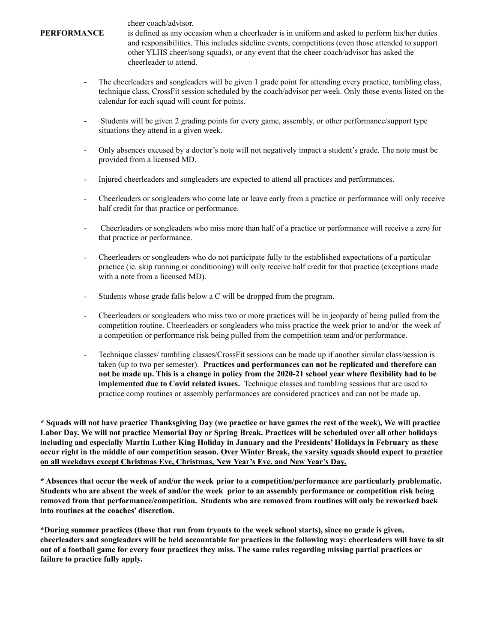cheer coach/advisor.

- **PERFORMANCE** is defined as any occasion when a cheerleader is in uniform and asked to perform his/her duties and responsibilities. This includes sideline events, competitions (even those attended to support other YLHS cheer/song squads), or any event that the cheer coach/advisor has asked the cheerleader to attend.
	- The cheerleaders and songleaders will be given 1 grade point for attending every practice, tumbling class, technique class, CrossFit session scheduled by the coach/advisor per week. Only those events listed on the calendar for each squad will count for points.
	- Students will be given 2 grading points for every game, assembly, or other performance/support type situations they attend in a given week.
	- Only absences excused by a doctor's note will not negatively impact a student's grade. The note must be provided from a licensed MD.
	- Injured cheerleaders and songleaders are expected to attend all practices and performances.
	- Cheerleaders or songleaders who come late or leave early from a practice or performance will only receive half credit for that practice or performance.
	- Cheerleaders or songleaders who miss more than half of a practice or performance will receive a zero for that practice or performance.
	- Cheerleaders or songleaders who do not participate fully to the established expectations of a particular practice (ie. skip running or conditioning) will only receive half credit for that practice (exceptions made with a note from a licensed MD).
	- Students whose grade falls below a C will be dropped from the program.
	- Cheerleaders or songleaders who miss two or more practices will be in jeopardy of being pulled from the competition routine. Cheerleaders or songleaders who miss practice the week prior to and/or the week of a competition or performance risk being pulled from the competition team and/or performance.
	- Technique classes/ tumbling classes/CrossFit sessions can be made up if another similar class/session is taken (up to two per semester). **Practices and performances can not be replicated and therefore can** not be made up. This is a change in policy from the 2020-21 school year where flexibility had to be **implemented due to Covid related issues.** Technique classes and tumbling sessions that are used to practice comp routines or assembly performances are considered practices and can not be made up.

\* Squads will not have practice Thanksgiving Day (we practice or have games the rest of the week), We will practice Labor Day. We will not practice Memorial Day or Spring Break. Practices will be scheduled over all other holidays including and especially Martin Luther King Holiday in January and the Presidents' Holidays in February as these occur right in the middle of our competition season. Over Winter Break, the varsity squads should expect to practice **on all weekdays except Christmas Eve, Christmas, New Year's Eve, and New Year's Day.**

\* Absences that occur the week of and/or the week prior to a competition/performance are particularly problematic. Students who are absent the week of and/or the week prior to an assembly performance or competition risk being **removed from that performance/competition. Students who are removed from routines will only be reworked back into routines at the coaches' discretion.**

\*During summer practices (those that run from tryouts to the week school starts), since no grade is given, cheerleaders and songleaders will be held accountable for practices in the following way: cheerleaders will have to sit out of a football game for every four practices they miss. The same rules regarding missing partial practices or **failure to practice fully apply.**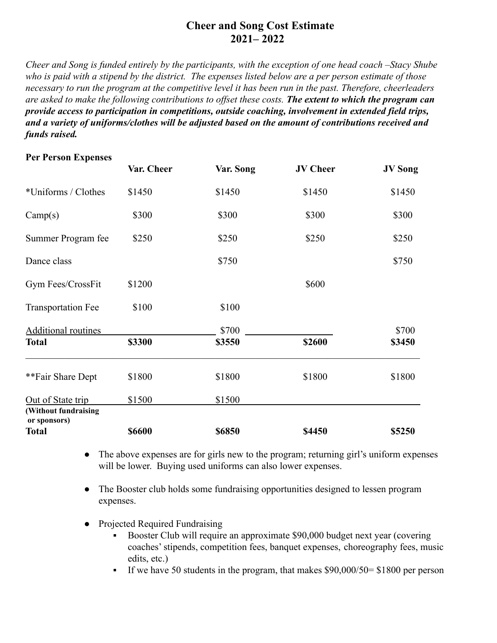## **Cheer and Song Cost Estimate 2021– 2022**

*Cheer and Song is funded entirely by the participants, with the exception of one head coach –Stacy Shube who is paid with a stipend by the district. The expenses listed below are a per person estimate of those necessary to run the program at the competitive level it has been run in the past. Therefore, cheerleaders are asked to make the following contributions to offset these costs. The extent to which the program can provide access to participation in competitions, outside coaching, involvement in extended field trips, and a variety of uniforms/clothes will be adjusted based on the amount of contributions received and funds raised.*

# **Per Person Expenses**

|                                      | Var. Cheer | Var. Song | <b>JV Cheer</b> | <b>JV</b> Song |
|--------------------------------------|------------|-----------|-----------------|----------------|
| *Uniforms / Clothes                  | \$1450     | \$1450    | \$1450          | \$1450         |
| Camp(s)                              | \$300      | \$300     | \$300           | \$300          |
| Summer Program fee                   | \$250      | \$250     | \$250           | \$250          |
| Dance class                          |            | \$750     |                 | \$750          |
| Gym Fees/CrossFit                    | \$1200     |           | \$600           |                |
| <b>Transportation Fee</b>            | \$100      | \$100     |                 |                |
| <b>Additional routines</b>           |            | \$700     |                 | \$700          |
| <b>Total</b>                         | \$3300     | \$3550    | \$2600          | \$3450         |
| **Fair Share Dept                    | \$1800     | \$1800    | \$1800          | \$1800         |
| Out of State trip                    | \$1500     | \$1500    |                 |                |
| (Without fundraising<br>or sponsors) |            |           |                 |                |
| <b>Total</b>                         | \$6600     | \$6850    | \$4450          | \$5250         |

- The above expenses are for girls new to the program; returning girl's uniform expenses will be lower. Buying used uniforms can also lower expenses.
- The Booster club holds some fundraising opportunities designed to lessen program expenses.
- Projected Required Fundraising
	- Booster Club will require an approximate \$90,000 budget next year (covering coaches' stipends, competition fees, banquet expenses, choreography fees, music edits, etc.)
	- **If we have 50 students in the program, that makes \$90,000/50= \$1800 per person**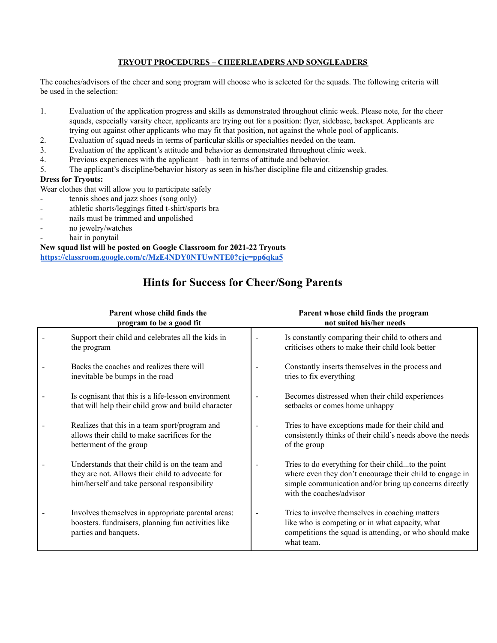## **TRYOUT PROCEDURES – CHEERLEADERS AND SONGLEADERS**

The coaches/advisors of the cheer and song program will choose who is selected for the squads. The following criteria will be used in the selection:

- 1. Evaluation of the application progress and skills as demonstrated throughout clinic week. Please note, for the cheer squads, especially varsity cheer, applicants are trying out for a position: flyer, sidebase, backspot. Applicants are trying out against other applicants who may fit that position, not against the whole pool of applicants.
- 2. Evaluation of squad needs in terms of particular skills or specialties needed on the team.
- 3. Evaluation of the applicant's attitude and behavior as demonstrated throughout clinic week.
- 4. Previous experiences with the applicant both in terms of attitude and behavior.
- 5. The applicant's discipline/behavior history as seen in his/her discipline file and citizenship grades.

#### **Dress for Tryouts:**

Wear clothes that will allow you to participate safely

- tennis shoes and jazz shoes (song only)
- athletic shorts/leggings fitted t-shirt/sports bra
- nails must be trimmed and unpolished
- no jewelry/watches
- hair in ponytail

#### **New squad list will be posted on Google Classroom for 2021-22 Tryouts <https://classroom.google.com/c/MzE4NDY0NTUwNTE0?cjc=pp6qka5>**

## **Hints for Success for Cheer/Song Parents**

| Parent whose child finds the<br>program to be a good fit                                                                                            |                          | Parent whose child finds the program<br>not suited his/her needs                                                                                                                                     |
|-----------------------------------------------------------------------------------------------------------------------------------------------------|--------------------------|------------------------------------------------------------------------------------------------------------------------------------------------------------------------------------------------------|
| Support their child and celebrates all the kids in<br>the program                                                                                   | $\overline{a}$           | Is constantly comparing their child to others and<br>criticises others to make their child look better                                                                                               |
| Backs the coaches and realizes there will<br>inevitable be bumps in the road                                                                        |                          | Constantly inserts themselves in the process and<br>tries to fix everything                                                                                                                          |
| Is cognisant that this is a life-lesson environment<br>that will help their child grow and build character                                          | $\overline{\phantom{a}}$ | Becomes distressed when their child experiences<br>setbacks or comes home unhappy                                                                                                                    |
| Realizes that this in a team sport/program and<br>allows their child to make sacrifices for the<br>betterment of the group                          |                          | Tries to have exceptions made for their child and<br>consistently thinks of their child's needs above the needs<br>of the group                                                                      |
| Understands that their child is on the team and<br>they are not. Allows their child to advocate for<br>him/herself and take personal responsibility |                          | Tries to do everything for their childto the point<br>where even they don't encourage their child to engage in<br>simple communication and/or bring up concerns directly<br>with the coaches/advisor |
| Involves themselves in appropriate parental areas:<br>boosters. fundraisers, planning fun activities like<br>parties and banquets.                  |                          | Tries to involve themselves in coaching matters<br>like who is competing or in what capacity, what<br>competitions the squad is attending, or who should make<br>what team.                          |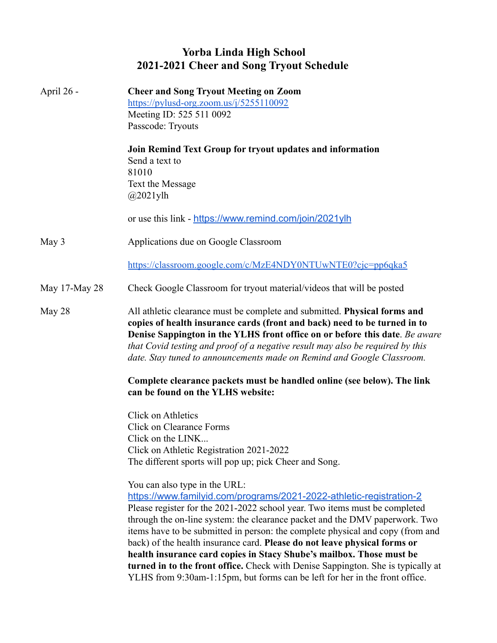## **Yorba Linda High School 2021-2021 Cheer and Song Tryout Schedule**

| April 26 -    | <b>Cheer and Song Tryout Meeting on Zoom</b><br>$\frac{https://pylusd-org.zoom.us/j/5255110092}{https://pylusd-org.zoom.us/j/5255110092}$<br>Meeting ID: 525 511 0092<br>Passcode: Tryouts                                                                                                                                                                                                                                                                                                                                                                                                                                                                                  |  |  |
|---------------|-----------------------------------------------------------------------------------------------------------------------------------------------------------------------------------------------------------------------------------------------------------------------------------------------------------------------------------------------------------------------------------------------------------------------------------------------------------------------------------------------------------------------------------------------------------------------------------------------------------------------------------------------------------------------------|--|--|
|               | Join Remind Text Group for tryout updates and information<br>Send a text to<br>81010<br>Text the Message<br>$@2021$ ylh                                                                                                                                                                                                                                                                                                                                                                                                                                                                                                                                                     |  |  |
|               | or use this link - https://www.remind.com/join/2021ylh                                                                                                                                                                                                                                                                                                                                                                                                                                                                                                                                                                                                                      |  |  |
| May 3         | Applications due on Google Classroom                                                                                                                                                                                                                                                                                                                                                                                                                                                                                                                                                                                                                                        |  |  |
|               | https://classroom.google.com/c/MzE4NDY0NTUwNTE0?cjc=pp6qka5                                                                                                                                                                                                                                                                                                                                                                                                                                                                                                                                                                                                                 |  |  |
| May 17-May 28 | Check Google Classroom for tryout material/videos that will be posted                                                                                                                                                                                                                                                                                                                                                                                                                                                                                                                                                                                                       |  |  |
| May 28        | All athletic clearance must be complete and submitted. Physical forms and<br>copies of health insurance cards (front and back) need to be turned in to<br>Denise Sappington in the YLHS front office on or before this date. Be aware<br>that Covid testing and proof of a negative result may also be required by this<br>date. Stay tuned to announcements made on Remind and Google Classroom.                                                                                                                                                                                                                                                                           |  |  |
|               | Complete clearance packets must be handled online (see below). The link<br>can be found on the YLHS website:                                                                                                                                                                                                                                                                                                                                                                                                                                                                                                                                                                |  |  |
|               | Click on Athletics<br><b>Click on Clearance Forms</b><br>Click on the LINK<br>Click on Athletic Registration 2021-2022<br>The different sports will pop up; pick Cheer and Song.                                                                                                                                                                                                                                                                                                                                                                                                                                                                                            |  |  |
|               | You can also type in the URL:<br>https://www.familyid.com/programs/2021-2022-athletic-registration-2<br>Please register for the 2021-2022 school year. Two items must be completed<br>through the on-line system: the clearance packet and the DMV paperwork. Two<br>items have to be submitted in person: the complete physical and copy (from and<br>back) of the health insurance card. Please do not leave physical forms or<br>health insurance card copies in Stacy Shube's mailbox. Those must be<br>turned in to the front office. Check with Denise Sappington. She is typically at<br>YLHS from 9:30am-1:15pm, but forms can be left for her in the front office. |  |  |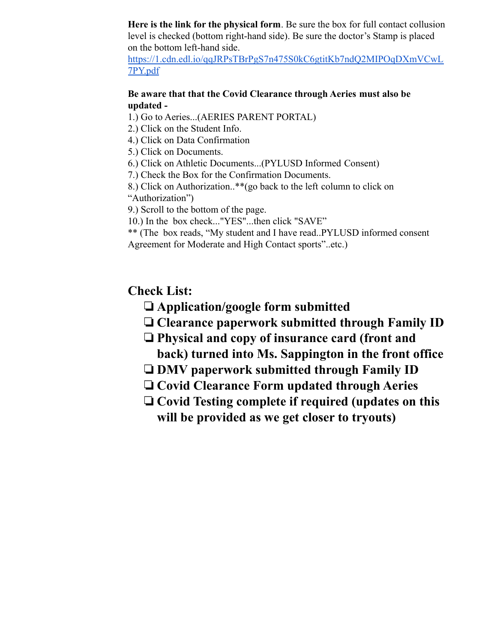**Here is the link for the physical form**. Be sure the box for full contact collusion level is checked (bottom right-hand side). Be sure the doctor's Stamp is placed on the bottom left-hand side.

[https://1.cdn.edl.io/qqJRPsTBrPgS7n475S0kC6gtitKb7ndQ2MIPOqDXmVCwL](https://1.cdn.edl.io/qqJRPsTBrPgS7n475S0kC6gtitKb7ndQ2MIPOqDXmVCwL7PY.pdf) [7PY.pdf](https://1.cdn.edl.io/qqJRPsTBrPgS7n475S0kC6gtitKb7ndQ2MIPOqDXmVCwL7PY.pdf)

## **Be aware that that the Covid Clearance through Aeries must also be updated -**

1.) Go to Aeries...(AERIES PARENT PORTAL)

- 2.) Click on the Student Info.
- 4.) Click on Data Confirmation
- 5.) Click on Documents.
- 6.) Click on Athletic Documents...(PYLUSD Informed Consent)
- 7.) Check the Box for the Confirmation Documents.
- 8.) Click on Authorization..\*\*(go back to the left column to click on
- "Authorization")
- 9.) Scroll to the bottom of the page.
- 10.) In the box check..."YES"...then click "SAVE"

\*\* (The box reads, "My student and I have read..PYLUSD informed consent Agreement for Moderate and High Contact sports"..etc.)

## **Check List:**

- ❏**Application/google form submitted**
- ❏**Clearance paperwork submitted through Family ID**
- ❏**Physical and copy of insurance card (front and back) turned into Ms. Sappington in the front office**
- ❏**DMV paperwork submitted through Family ID**
- ❏**Covid Clearance Form updated through Aeries**
- ❏**Covid Testing complete if required (updates on this will be provided as we get closer to tryouts)**